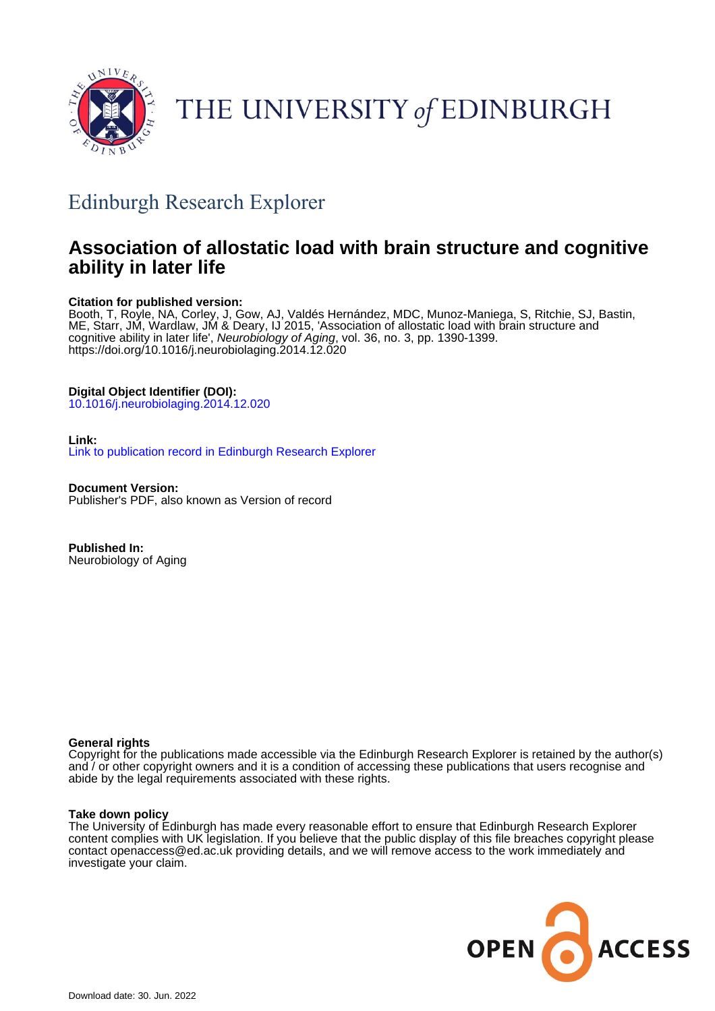

# THE UNIVERSITY of EDINBURGH

# Edinburgh Research Explorer

# **Association of allostatic load with brain structure and cognitive ability in later life**

# **Citation for published version:**

Booth, T, Royle, NA, Corley, J, Gow, AJ, Valdés Hernández, MDC, Munoz-Maniega, S, Ritchie, SJ, Bastin, ME, Starr, JM, Wardlaw, JM & Deary, IJ 2015, 'Association of allostatic load with brain structure and cognitive ability in later life', Neurobiology of Aging, vol. 36, no. 3, pp. 1390-1399. <https://doi.org/10.1016/j.neurobiolaging.2014.12.020>

# **Digital Object Identifier (DOI):**

[10.1016/j.neurobiolaging.2014.12.020](https://doi.org/10.1016/j.neurobiolaging.2014.12.020)

# **Link:**

[Link to publication record in Edinburgh Research Explorer](https://www.research.ed.ac.uk/en/publications/d287629e-c62f-4f87-b65d-e7960307047d)

**Document Version:** Publisher's PDF, also known as Version of record

**Published In:** Neurobiology of Aging

# **General rights**

Copyright for the publications made accessible via the Edinburgh Research Explorer is retained by the author(s) and / or other copyright owners and it is a condition of accessing these publications that users recognise and abide by the legal requirements associated with these rights.

# **Take down policy**

The University of Edinburgh has made every reasonable effort to ensure that Edinburgh Research Explorer content complies with UK legislation. If you believe that the public display of this file breaches copyright please contact openaccess@ed.ac.uk providing details, and we will remove access to the work immediately and investigate your claim.

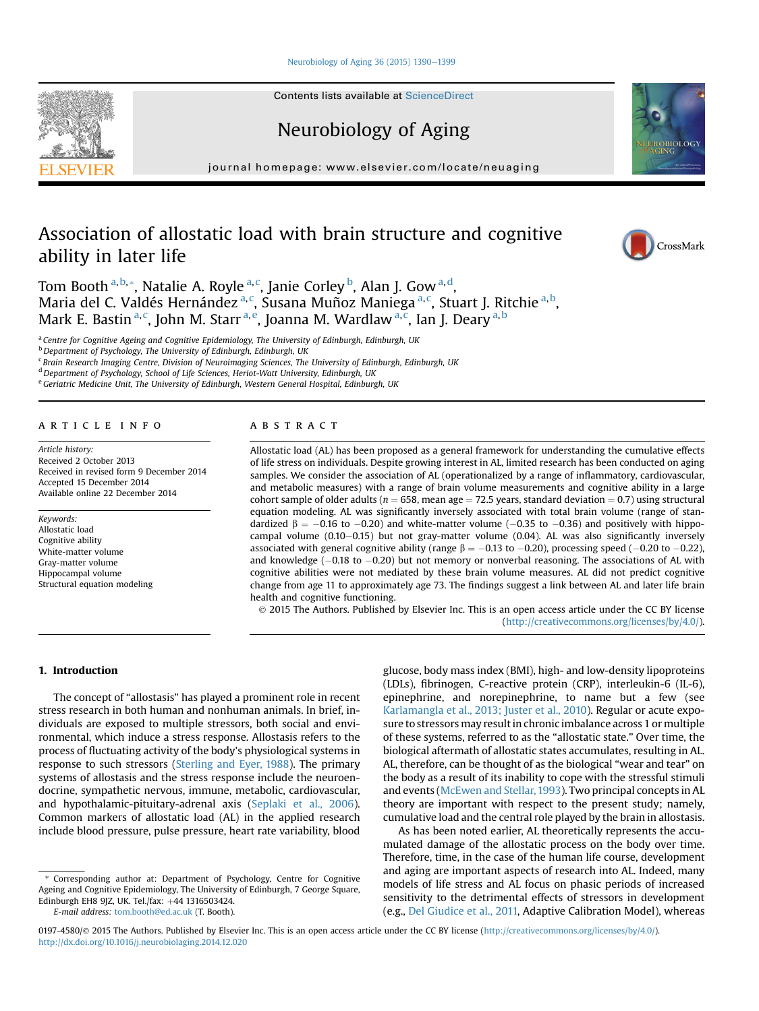#### Neurobiology of Aging  $36(2015)$  1390-[1399](http://dx.doi.org/10.1016/j.neurobiolaging.2014.12.020)

**Contents lists available at ScienceDirect** 

Neurobiology of Aging

journal homepage: [www.elsevier.com/locate/neuaging](http://www.elsevier.com/locate/neuaging)

# Association of allostatic load with brain structure and cognitive ability in later life

Tom Booth <sup>a, b,</sup> \*, Natalie A. Royle <sup>a, c</sup>, Janie Corley <sup>b</sup>, Alan J. Gow <sup>a, d</sup>, Maria del C. Valdés Hernández <sup>a, c</sup>, Susana Muñoz Maniega <sup>a, c</sup>, Stuart J. Ritchie <sup>a, b</sup>, Mark E. Bastin <sup>a, c</sup>, John M. Starr <sup>a, e</sup>, Joanna M. Wardlaw <sup>a, c</sup>, Ian J. Deary <sup>a, b</sup>

<sup>a</sup> Centre for Cognitive Ageing and Cognitive Epidemiology, The University of Edinburgh, Edinburgh, UK

**b** Department of Psychology, The University of Edinburgh, Edinburgh, UK

<sup>c</sup> Brain Research Imaging Centre, Division of Neuroimaging Sciences, The University of Edinburgh, Edinburgh, UK

<sup>d</sup> Department of Psychology, School of Life Sciences, Heriot-Watt University, Edinburgh, UK

e Geriatric Medicine Unit, The University of Edinburgh, Western General Hospital, Edinburgh, UK

## article info

Article history: Received 2 October 2013 Received in revised form 9 December 2014 Accepted 15 December 2014 Available online 22 December 2014

#### Keywords:

Allostatic load Cognitive ability White-matter volume Gray-matter volume Hippocampal volume Structural equation modeling

## **ABSTRACT**

Allostatic load (AL) has been proposed as a general framework for understanding the cumulative effects of life stress on individuals. Despite growing interest in AL, limited research has been conducted on aging samples. We consider the association of AL (operationalized by a range of inflammatory, cardiovascular, and metabolic measures) with a range of brain volume measurements and cognitive ability in a large cohort sample of older adults ( $n = 658$ , mean age = 72.5 years, standard deviation = 0.7) using structural equation modeling. AL was significantly inversely associated with total brain volume (range of standardized  $\beta = -0.16$  to  $-0.20$ ) and white-matter volume ( $-0.35$  to  $-0.36$ ) and positively with hippocampal volume (0.10-0.15) but not gray-matter volume (0.04). AL was also significantly inversely associated with general cognitive ability (range  $\beta = -0.13$  to  $-0.20$ ), processing speed ( $-0.20$  to  $-0.22$ ), and knowledge  $(-0.18$  to  $-0.20)$  but not memory or nonverbal reasoning. The associations of AL with cognitive abilities were not mediated by these brain volume measures. AL did not predict cognitive change from age 11 to approximately age 73. The findings suggest a link between AL and later life brain health and cognitive functioning.

 2015 The Authors. Published by Elsevier Inc. This is an open access article under the CC BY license ([http://creativecommons.org/licenses/by/4.0/](http://creativecommons.org/licenses/by/4.�0/)).

1. Introduction

The concept of "allostasis" has played a prominent role in recent stress research in both human and nonhuman animals. In brief, individuals are exposed to multiple stressors, both social and environmental, which induce a stress response. Allostasis refers to the process of fluctuating activity of the body's physiological systems in response to such stressors ([Sterling and Eyer, 1988](#page-10-0)). The primary systems of allostasis and the stress response include the neuroendocrine, sympathetic nervous, immune, metabolic, cardiovascular, and hypothalamic-pituitary-adrenal axis [\(Seplaki et al., 2006\)](#page-10-0). Common markers of allostatic load (AL) in the applied research include blood pressure, pulse pressure, heart rate variability, blood

\* Corresponding author at: Department of Psychology, Centre for Cognitive Ageing and Cognitive Epidemiology, The University of Edinburgh, 7 George Square, Edinburgh EH8 9JZ, UK. Tel./fax: +44 1316503424.

E-mail address: [tom.booth@ed.ac.uk](mailto:tom.booth@ed.ac.uk) (T. Booth).

glucose, body mass index (BMI), high- and low-density lipoproteins (LDLs), fibrinogen, C-reactive protein (CRP), interleukin-6 (IL-6), epinephrine, and norepinephrine, to name but a few (see [Karlamangla et al., 2013; Juster et al., 2010](#page-10-0)). Regular or acute exposure to stressors may result in chronic imbalance across 1 or multiple of these systems, referred to as the "allostatic state." Over time, the biological aftermath of allostatic states accumulates, resulting in AL. AL, therefore, can be thought of as the biological "wear and tear" on the body as a result of its inability to cope with the stressful stimuli and events ([McEwen and Stellar,1993](#page-10-0)). Two principal concepts in AL theory are important with respect to the present study; namely, cumulative load and the central role played by the brain in allostasis.

As has been noted earlier, AL theoretically represents the accumulated damage of the allostatic process on the body over time. Therefore, time, in the case of the human life course, development and aging are important aspects of research into AL. Indeed, many models of life stress and AL focus on phasic periods of increased sensitivity to the detrimental effects of stressors in development (e.g., [Del Giudice et al., 2011,](#page-10-0) Adaptive Calibration Model), whereas







<sup>0197-4580/@ 2015</sup> The Authors. Published by Elsevier Inc. This is an open access article under the CC BY license ([http://creativecommons.org/licenses/by/4.0/\)](http://creativecommons.org/licenses/by/4.�0/). <http://dx.doi.org/10.1016/j.neurobiolaging.2014.12.020>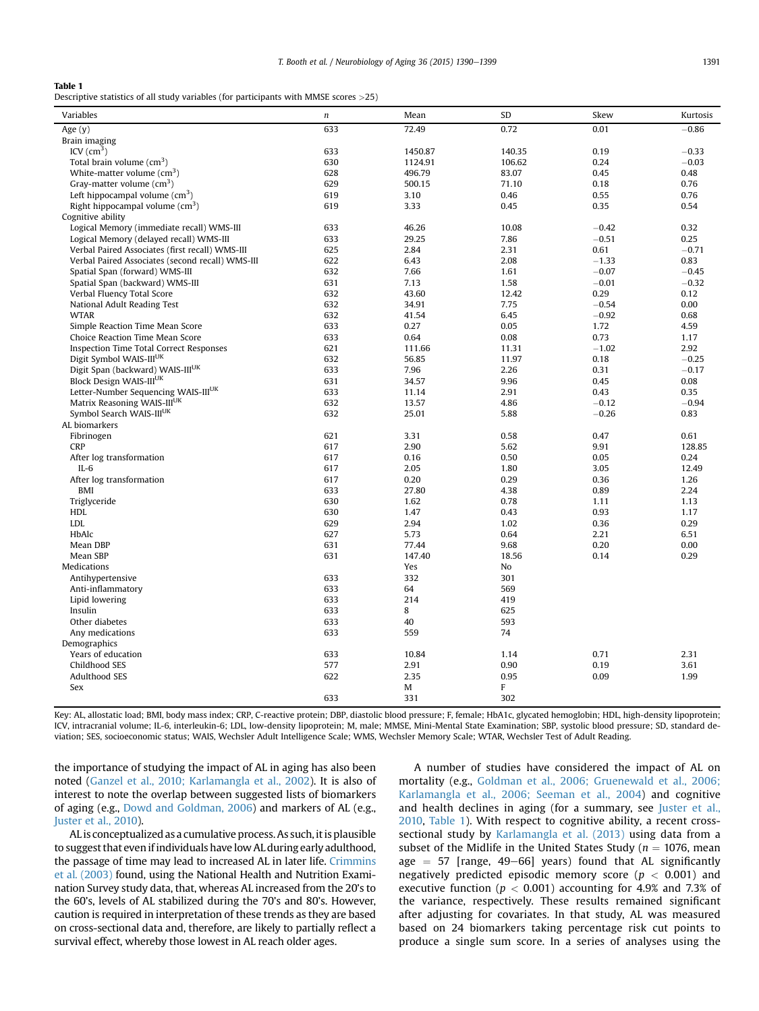#### <span id="page-2-0"></span>Table 1

Descriptive statistics of all study variables (for participants with MMSE scores >25)

| Variables                                        | $\boldsymbol{n}$ | Mean    | SD     | Skew    | Kurtosis |
|--------------------------------------------------|------------------|---------|--------|---------|----------|
| Age $(y)$                                        | 633              | 72.49   | 0.72   | 0.01    | $-0.86$  |
| Brain imaging                                    |                  |         |        |         |          |
| ICV $(cm^3)$                                     | 633              | 1450.87 | 140.35 | 0.19    | $-0.33$  |
| Total brain volume $\text{cm}^3$ )               | 630              | 1124.91 | 106.62 | 0.24    | $-0.03$  |
| White-matter volume $\text{cm}^3$ )              | 628              | 496.79  | 83.07  | 0.45    | 0.48     |
| Gray-matter volume $\rm (cm^3)$                  | 629              | 500.15  | 71.10  | 0.18    | 0.76     |
| Left hippocampal volume $\rm (cm^3)$             | 619              | 3.10    | 0.46   | 0.55    | 0.76     |
| Right hippocampal volume $\rm (cm^3)$            | 619              | 3.33    | 0.45   | 0.35    | 0.54     |
| Cognitive ability                                |                  |         |        |         |          |
| Logical Memory (immediate recall) WMS-III        | 633              | 46.26   | 10.08  | $-0.42$ | 0.32     |
| Logical Memory (delayed recall) WMS-III          | 633              | 29.25   | 7.86   | $-0.51$ | 0.25     |
| Verbal Paired Associates (first recall) WMS-III  | 625              | 2.84    | 2.31   | 0.61    | $-0.71$  |
| Verbal Paired Associates (second recall) WMS-III | 622              | 6.43    | 2.08   | $-1.33$ | 0.83     |
| Spatial Span (forward) WMS-III                   | 632              | 7.66    | 1.61   | $-0.07$ | $-0.45$  |
| Spatial Span (backward) WMS-III                  | 631              | 7.13    | 1.58   | $-0.01$ | $-0.32$  |
| Verbal Fluency Total Score                       | 632              | 43.60   | 12.42  | 0.29    | 0.12     |
| National Adult Reading Test                      | 632              | 34.91   | 7.75   | $-0.54$ | 0.00     |
| <b>WTAR</b>                                      | 632              | 41.54   | 6.45   | $-0.92$ | 0.68     |
| Simple Reaction Time Mean Score                  | 633              | 0.27    | 0.05   | 1.72    | 4.59     |
| Choice Reaction Time Mean Score                  | 633              | 0.64    | 0.08   | 0.73    | 1.17     |
| <b>Inspection Time Total Correct Responses</b>   | 621              | 111.66  | 11.31  | $-1.02$ | 2.92     |
| Digit Symbol WAIS-IIIUK                          | 632              | 56.85   | 11.97  | 0.18    | $-0.25$  |
| Digit Span (backward) WAIS-IIIUK                 | 633              | 7.96    | 2.26   | 0.31    | $-0.17$  |
| Block Design WAIS-IIIUK                          | 631              | 34.57   | 9.96   | 0.45    | 0.08     |
| Letter-Number Sequencing WAIS-IIIUK              | 633              | 11.14   | 2.91   | 0.43    | 0.35     |
| Matrix Reasoning WAIS-IIIUK                      | 632              | 13.57   | 4.86   | $-0.12$ | $-0.94$  |
| Symbol Search WAIS-III <sup>UK</sup>             | 632              | 25.01   | 5.88   | $-0.26$ | 0.83     |
| AL biomarkers                                    |                  |         |        |         |          |
| Fibrinogen                                       | 621              | 3.31    | 0.58   | 0.47    | 0.61     |
| <b>CRP</b>                                       | 617              | 2.90    | 5.62   | 9.91    | 128.85   |
| After log transformation                         | 617              | 0.16    | 0.50   | 0.05    | 0.24     |
| $IL-6$                                           | 617              | 2.05    | 1.80   | 3.05    | 12.49    |
| After log transformation                         | 617              | 0.20    | 0.29   | 0.36    | 1.26     |
| BMI                                              | 633              | 27.80   | 4.38   | 0.89    | 2.24     |
| Triglyceride                                     | 630              | 1.62    | 0.78   | 1.11    | 1.13     |
| <b>HDL</b>                                       | 630              | 1.47    | 0.43   | 0.93    | 1.17     |
| <b>LDL</b>                                       | 629              | 2.94    | 1.02   | 0.36    | 0.29     |
| HbAlc                                            | 627              | 5.73    | 0.64   | 2.21    | 6.51     |
| Mean DBP                                         | 631              | 77.44   | 9.68   | 0.20    | 0.00     |
| Mean SBP                                         | 631              | 147.40  | 18.56  | 0.14    | 0.29     |
| Medications                                      |                  | Yes     | No     |         |          |
| Antihypertensive                                 | 633              | 332     | 301    |         |          |
| Anti-inflammatory                                | 633              | 64      | 569    |         |          |
| Lipid lowering                                   | 633              | 214     | 419    |         |          |
| Insulin                                          | 633              | 8       | 625    |         |          |
| Other diabetes                                   | 633              | 40      | 593    |         |          |
| Any medications                                  | 633              | 559     | 74     |         |          |
| Demographics                                     |                  |         |        |         |          |
| Years of education                               | 633              | 10.84   | 1.14   | 0.71    | 2.31     |
| Childhood SES                                    | 577              | 2.91    | 0.90   | 0.19    | 3.61     |
| <b>Adulthood SES</b>                             | 622              | 2.35    | 0.95   | 0.09    | 1.99     |
| Sex                                              |                  | M       | F      |         |          |
|                                                  | 633              | 331     | 302    |         |          |
|                                                  |                  |         |        |         |          |

Key: AL, allostatic load; BMI, body mass index; CRP, C-reactive protein; DBP, diastolic blood pressure; F, female; HbA1c, glycated hemoglobin; HDL, high-density lipoprotein; ICV, intracranial volume; IL-6, interleukin-6; LDL, low-density lipoprotein; M, male; MMSE, Mini-Mental State Examination; SBP, systolic blood pressure; SD, standard deviation; SES, socioeconomic status; WAIS, Wechsler Adult Intelligence Scale; WMS, Wechsler Memory Scale; WTAR, Wechsler Test of Adult Reading.

the importance of studying the impact of AL in aging has also been noted ([Ganzel et al., 2010; Karlamangla et al., 2002](#page-10-0)). It is also of interest to note the overlap between suggested lists of biomarkers of aging (e.g., [Dowd and Goldman, 2006](#page-10-0)) and markers of AL (e.g., [Juster et al., 2010](#page-10-0)).

AL is conceptualized as a cumulative process. As such, it is plausible to suggest that even if individuals have low AL during early adulthood, the passage of time may lead to increased AL in later life. [Crimmins](#page-10-0) [et al. \(2003\)](#page-10-0) found, using the National Health and Nutrition Examination Survey study data, that, whereas AL increased from the 20's to the 60's, levels of AL stabilized during the 70's and 80's. However, caution is required in interpretation of these trends as they are based on cross-sectional data and, therefore, are likely to partially reflect a survival effect, whereby those lowest in AL reach older ages.

A number of studies have considered the impact of AL on mortality (e.g., [Goldman et al., 2006; Gruenewald et al., 2006;](#page-10-0) [Karlamangla et al., 2006; Seeman et al., 2004\)](#page-10-0) and cognitive and health declines in aging (for a summary, see [Juster et al.,](#page-10-0) [2010,](#page-10-0) Table 1). With respect to cognitive ability, a recent crosssectional study by [Karlamangla et al. \(2013\)](#page-10-0) using data from a subset of the Midlife in the United States Study ( $n = 1076$ , mean age  $= 57$  [range, 49–66] years) found that AL significantly negatively predicted episodic memory score ( $p < 0.001$ ) and executive function ( $p < 0.001$ ) accounting for 4.9% and 7.3% of the variance, respectively. These results remained significant after adjusting for covariates. In that study, AL was measured based on 24 biomarkers taking percentage risk cut points to produce a single sum score. In a series of analyses using the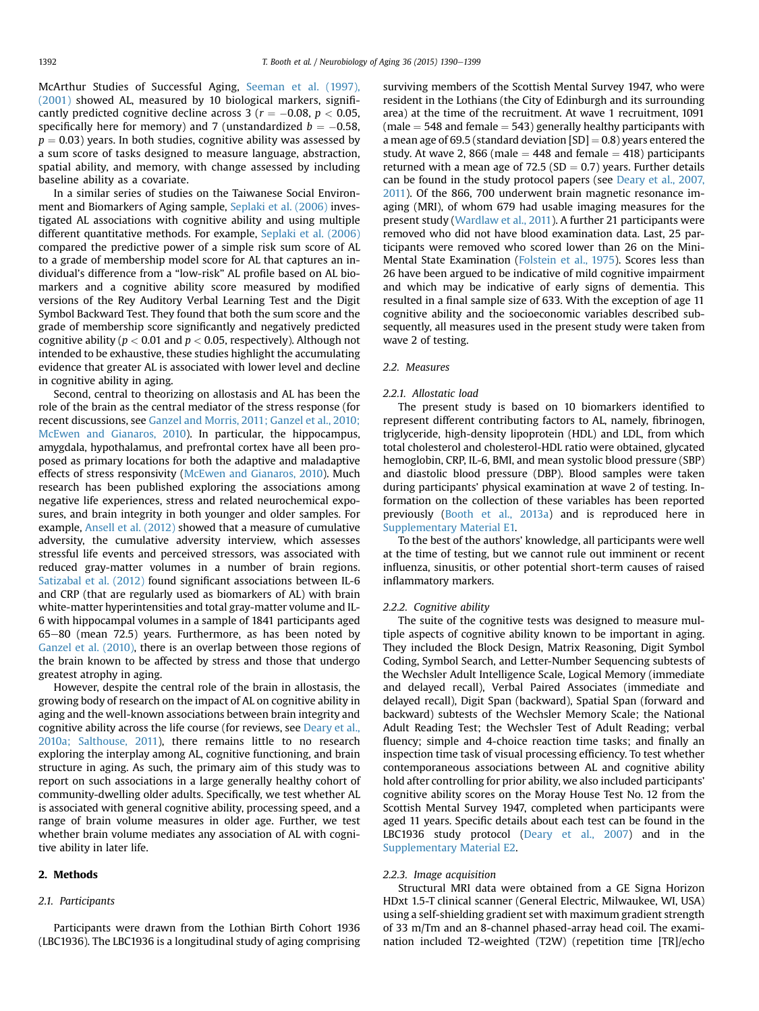McArthur Studies of Successful Aging, [Seeman et al. \(1997\),](#page-10-0) [\(2001\)](#page-10-0) showed AL, measured by 10 biological markers, significantly predicted cognitive decline across 3 ( $r = -0.08$ ,  $p < 0.05$ , specifically here for memory) and 7 (unstandardized  $b = -0.58$ ,  $p = 0.03$ ) years. In both studies, cognitive ability was assessed by a sum score of tasks designed to measure language, abstraction, spatial ability, and memory, with change assessed by including baseline ability as a covariate.

In a similar series of studies on the Taiwanese Social Environment and Biomarkers of Aging sample, [Seplaki et al. \(2006\)](#page-10-0) investigated AL associations with cognitive ability and using multiple different quantitative methods. For example, [Seplaki et al. \(2006\)](#page-10-0) compared the predictive power of a simple risk sum score of AL to a grade of membership model score for AL that captures an individual's difference from a "low-risk" AL profile based on AL biomarkers and a cognitive ability score measured by modified versions of the Rey Auditory Verbal Learning Test and the Digit Symbol Backward Test. They found that both the sum score and the grade of membership score significantly and negatively predicted cognitive ability ( $p < 0.01$  and  $p < 0.05$ , respectively). Although not intended to be exhaustive, these studies highlight the accumulating evidence that greater AL is associated with lower level and decline in cognitive ability in aging.

Second, central to theorizing on allostasis and AL has been the role of the brain as the central mediator of the stress response (for recent discussions, see [Ganzel and Morris, 2011; Ganzel et al., 2010;](#page-10-0) [McEwen and Gianaros, 2010\)](#page-10-0). In particular, the hippocampus, amygdala, hypothalamus, and prefrontal cortex have all been proposed as primary locations for both the adaptive and maladaptive effects of stress responsivity [\(McEwen and Gianaros, 2010\)](#page-10-0). Much research has been published exploring the associations among negative life experiences, stress and related neurochemical exposures, and brain integrity in both younger and older samples. For example, [Ansell et al. \(2012\)](#page-9-0) showed that a measure of cumulative adversity, the cumulative adversity interview, which assesses stressful life events and perceived stressors, was associated with reduced gray-matter volumes in a number of brain regions. [Satizabal et al. \(2012\)](#page-10-0) found significant associations between IL-6 and CRP (that are regularly used as biomarkers of AL) with brain white-matter hyperintensities and total gray-matter volume and IL-6 with hippocampal volumes in a sample of 1841 participants aged 65-80 (mean 72.5) years. Furthermore, as has been noted by [Ganzel et al. \(2010\),](#page-10-0) there is an overlap between those regions of the brain known to be affected by stress and those that undergo greatest atrophy in aging.

However, despite the central role of the brain in allostasis, the growing body of research on the impact of AL on cognitive ability in aging and the well-known associations between brain integrity and cognitive ability across the life course (for reviews, see [Deary et al.,](#page-10-0) [2010a; Salthouse, 2011\)](#page-10-0), there remains little to no research exploring the interplay among AL, cognitive functioning, and brain structure in aging. As such, the primary aim of this study was to report on such associations in a large generally healthy cohort of community-dwelling older adults. Specifically, we test whether AL is associated with general cognitive ability, processing speed, and a range of brain volume measures in older age. Further, we test whether brain volume mediates any association of AL with cognitive ability in later life.

#### 2. Methods

#### 2.1. Participants

Participants were drawn from the Lothian Birth Cohort 1936 (LBC1936). The LBC1936 is a longitudinal study of aging comprising surviving members of the Scottish Mental Survey 1947, who were resident in the Lothians (the City of Edinburgh and its surrounding area) at the time of the recruitment. At wave 1 recruitment, 1091 (male  $=$  548 and female  $=$  543) generally healthy participants with a mean age of 69.5 (standard deviation  $[SD] = 0.8$ ) years entered the study. At wave 2, 866 (male  $=$  448 and female  $=$  418) participants returned with a mean age of 72.5 ( $SD = 0.7$ ) years. Further details can be found in the study protocol papers (see [Deary et al., 2007,](#page-10-0) [2011\)](#page-10-0). Of the 866, 700 underwent brain magnetic resonance imaging (MRI), of whom 679 had usable imaging measures for the present study [\(Wardlaw et al., 2011\)](#page-10-0). A further 21 participants were removed who did not have blood examination data. Last, 25 participants were removed who scored lower than 26 on the Mini-Mental State Examination [\(Folstein et al., 1975](#page-10-0)). Scores less than 26 have been argued to be indicative of mild cognitive impairment and which may be indicative of early signs of dementia. This resulted in a final sample size of 633. With the exception of age 11 cognitive ability and the socioeconomic variables described subsequently, all measures used in the present study were taken from wave 2 of testing.

#### 2.2. Measures

#### 2.2.1. Allostatic load

The present study is based on 10 biomarkers identified to represent different contributing factors to AL, namely, fibrinogen, triglyceride, high-density lipoprotein (HDL) and LDL, from which total cholesterol and cholesterol-HDL ratio were obtained, glycated hemoglobin, CRP, IL-6, BMI, and mean systolic blood pressure (SBP) and diastolic blood pressure (DBP). Blood samples were taken during participants' physical examination at wave 2 of testing. Information on the collection of these variables has been reported previously [\(Booth et al., 2013a](#page-9-0)) and is reproduced here in Supplementary Material E1.

To the best of the authors' knowledge, all participants were well at the time of testing, but we cannot rule out imminent or recent influenza, sinusitis, or other potential short-term causes of raised inflammatory markers.

#### 2.2.2. Cognitive ability

The suite of the cognitive tests was designed to measure multiple aspects of cognitive ability known to be important in aging. They included the Block Design, Matrix Reasoning, Digit Symbol Coding, Symbol Search, and Letter-Number Sequencing subtests of the Wechsler Adult Intelligence Scale, Logical Memory (immediate and delayed recall), Verbal Paired Associates (immediate and delayed recall), Digit Span (backward), Spatial Span (forward and backward) subtests of the Wechsler Memory Scale; the National Adult Reading Test; the Wechsler Test of Adult Reading; verbal fluency; simple and 4-choice reaction time tasks; and finally an inspection time task of visual processing efficiency. To test whether contemporaneous associations between AL and cognitive ability hold after controlling for prior ability, we also included participants' cognitive ability scores on the Moray House Test No. 12 from the Scottish Mental Survey 1947, completed when participants were aged 11 years. Specific details about each test can be found in the LBC1936 study protocol [\(Deary et al., 2007\)](#page-10-0) and in the Supplementary Material E2.

#### 2.2.3. Image acquisition

Structural MRI data were obtained from a GE Signa Horizon HDxt 1.5-T clinical scanner (General Electric, Milwaukee, WI, USA) using a self-shielding gradient set with maximum gradient strength of 33 m/Tm and an 8-channel phased-array head coil. The examination included T2-weighted (T2W) (repetition time [TR]/echo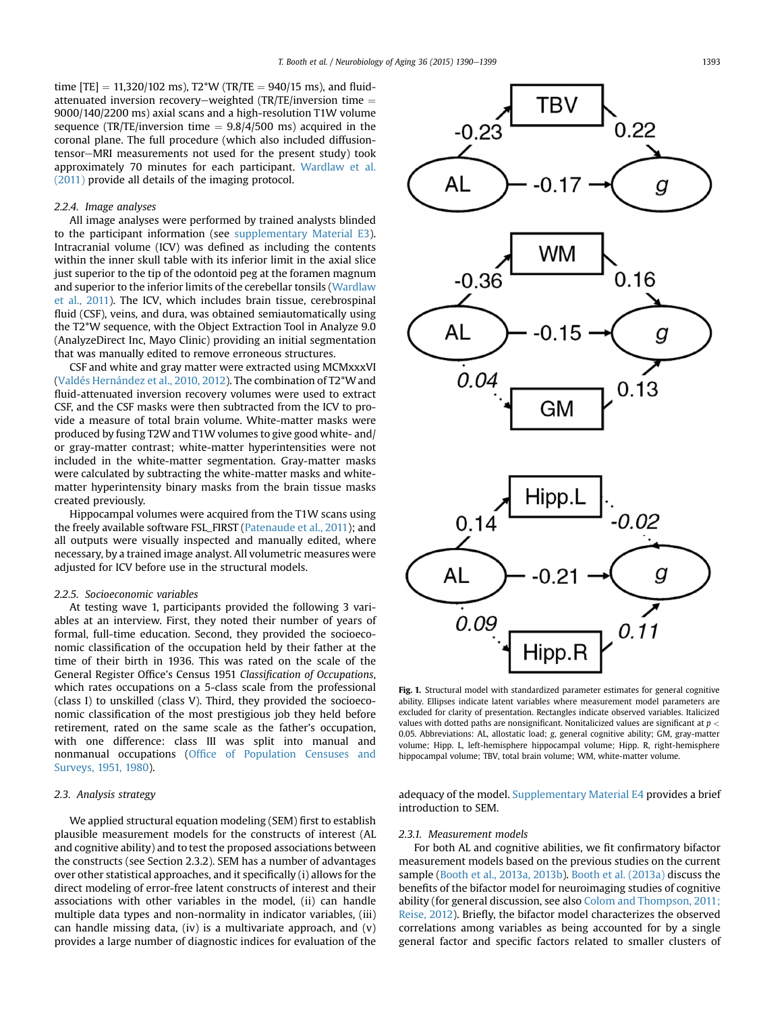<span id="page-4-0"></span>time  $[TE] = 11,320/102 \text{ ms}$ ,  $T2*W (TR/TE = 940/15 \text{ ms})$ , and fluidattenuated inversion recovery–weighted (TR/TE/inversion time  $=$ 9000/140/2200 ms) axial scans and a high-resolution T1W volume sequence (TR/TE/inversion time  $= 9.8/4/500$  ms) acquired in the coronal plane. The full procedure (which also included diffusiontensor-MRI measurements not used for the present study) took approximately 70 minutes for each participant. [Wardlaw et al.](#page-10-0) [\(2011\)](#page-10-0) provide all details of the imaging protocol.

#### 2.2.4. Image analyses

All image analyses were performed by trained analysts blinded to the participant information (see supplementary Material E3). Intracranial volume (ICV) was defined as including the contents within the inner skull table with its inferior limit in the axial slice just superior to the tip of the odontoid peg at the foramen magnum and superior to the inferior limits of the cerebellar tonsils [\(Wardlaw](#page-10-0) [et al., 2011](#page-10-0)). The ICV, which includes brain tissue, cerebrospinal fluid (CSF), veins, and dura, was obtained semiautomatically using the T2\*W sequence, with the Object Extraction Tool in Analyze 9.0 (AnalyzeDirect Inc, Mayo Clinic) providing an initial segmentation that was manually edited to remove erroneous structures.

CSF and white and gray matter were extracted using MCMxxxVI ([Valdés Hernández et al., 2010, 2012\)](#page-10-0). The combination of T2\*W and fluid-attenuated inversion recovery volumes were used to extract CSF, and the CSF masks were then subtracted from the ICV to provide a measure of total brain volume. White-matter masks were produced by fusing T2W and T1W volumes to give good white- and/ or gray-matter contrast; white-matter hyperintensities were not included in the white-matter segmentation. Gray-matter masks were calculated by subtracting the white-matter masks and whitematter hyperintensity binary masks from the brain tissue masks created previously.

Hippocampal volumes were acquired from the T1W scans using the freely available software FSL\_FIRST ([Patenaude et al., 2011](#page-10-0)); and all outputs were visually inspected and manually edited, where necessary, by a trained image analyst. All volumetric measures were adjusted for ICV before use in the structural models.

#### 2.2.5. Socioeconomic variables

At testing wave 1, participants provided the following 3 variables at an interview. First, they noted their number of years of formal, full-time education. Second, they provided the socioeconomic classification of the occupation held by their father at the time of their birth in 1936. This was rated on the scale of the General Register Office's Census 1951 Classification of Occupations, which rates occupations on a 5-class scale from the professional (class I) to unskilled (class V). Third, they provided the socioeconomic classification of the most prestigious job they held before retirement, rated on the same scale as the father's occupation, with one difference: class III was split into manual and nonmanual occupations (Offi[ce of Population Censuses and](#page-10-0) [Surveys, 1951, 1980](#page-10-0)).

#### 2.3. Analysis strategy

We applied structural equation modeling (SEM) first to establish plausible measurement models for the constructs of interest (AL and cognitive ability) and to test the proposed associations between the constructs (see Section 2.3.2). SEM has a number of advantages over other statistical approaches, and it specifically (i) allows for the direct modeling of error-free latent constructs of interest and their associations with other variables in the model, (ii) can handle multiple data types and non-normality in indicator variables, (iii) can handle missing data, (iv) is a multivariate approach, and (v) provides a large number of diagnostic indices for evaluation of the



Fig. 1. Structural model with standardized parameter estimates for general cognitive ability. Ellipses indicate latent variables where measurement model parameters are excluded for clarity of presentation. Rectangles indicate observed variables. Italicized values with dotted paths are nonsignificant. Nonitalicized values are significant at  $p <$ 0.05. Abbreviations: AL, allostatic load; g, general cognitive ability; GM, gray-matter volume; Hipp. L, left-hemisphere hippocampal volume; Hipp. R, right-hemisphere hippocampal volume; TBV, total brain volume; WM, white-matter volume.

adequacy of the model. Supplementary Material E4 provides a brief introduction to SEM.

#### 2.3.1. Measurement models

For both AL and cognitive abilities, we fit confirmatory bifactor measurement models based on the previous studies on the current sample [\(Booth et al., 2013a, 2013b](#page-9-0)). [Booth et al. \(2013a\)](#page-9-0) discuss the benefits of the bifactor model for neuroimaging studies of cognitive ability (for general discussion, see also [Colom and Thompson, 2011;](#page-9-0) [Reise, 2012](#page-9-0)). Briefly, the bifactor model characterizes the observed correlations among variables as being accounted for by a single general factor and specific factors related to smaller clusters of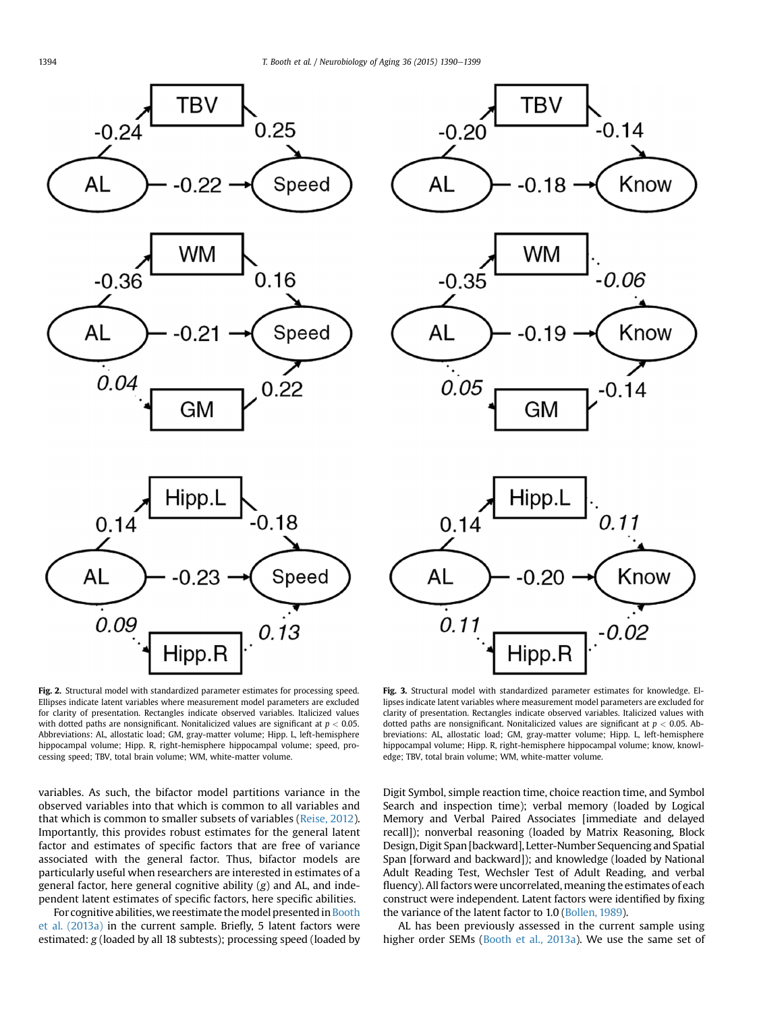<span id="page-5-0"></span>

WM  $-0.35$ -0.06 Know Αl 0.05  $0.14$ GM Hipp.l  $0.14$ 0.11 Know Al 0.11  $0.02$ Hipp.R

TBV

.18

-0.14

Know

 $-0.20$ 

Al

Fig. 2. Structural model with standardized parameter estimates for processing speed. Ellipses indicate latent variables where measurement model parameters are excluded for clarity of presentation. Rectangles indicate observed variables. Italicized values with dotted paths are nonsignificant. Nonitalicized values are significant at  $p < 0.05$ . Abbreviations: AL, allostatic load; GM, gray-matter volume; Hipp. L, left-hemisphere hippocampal volume; Hipp. R, right-hemisphere hippocampal volume; speed, processing speed; TBV, total brain volume; WM, white-matter volume.

variables. As such, the bifactor model partitions variance in the observed variables into that which is common to all variables and that which is common to smaller subsets of variables ([Reise, 2012\)](#page-10-0). Importantly, this provides robust estimates for the general latent factor and estimates of specific factors that are free of variance associated with the general factor. Thus, bifactor models are particularly useful when researchers are interested in estimates of a general factor, here general cognitive ability (g) and AL, and independent latent estimates of specific factors, here specific abilities.

For cognitive abilities, we reestimate the model presented in [Booth](#page-9-0) [et al. \(2013a\)](#page-9-0) in the current sample. Briefly, 5 latent factors were estimated: g (loaded by all 18 subtests); processing speed (loaded by

Fig. 3. Structural model with standardized parameter estimates for knowledge. Ellipses indicate latent variables where measurement model parameters are excluded for clarity of presentation. Rectangles indicate observed variables. Italicized values with dotted paths are nonsignificant. Nonitalicized values are significant at  $p < 0.05$ . Abbreviations: AL, allostatic load; GM, gray-matter volume; Hipp. L, left-hemisphere hippocampal volume; Hipp. R, right-hemisphere hippocampal volume; know, knowledge; TBV, total brain volume; WM, white-matter volume.

Digit Symbol, simple reaction time, choice reaction time, and Symbol Search and inspection time); verbal memory (loaded by Logical Memory and Verbal Paired Associates [immediate and delayed recall]); nonverbal reasoning (loaded by Matrix Reasoning, Block Design, Digit Span [backward], Letter-Number Sequencing and Spatial Span [forward and backward]); and knowledge (loaded by National Adult Reading Test, Wechsler Test of Adult Reading, and verbal fluency). All factors were uncorrelated, meaning the estimates of each construct were independent. Latent factors were identified by fixing the variance of the latent factor to 1.0 [\(Bollen, 1989\)](#page-9-0).

AL has been previously assessed in the current sample using higher order SEMs [\(Booth et al., 2013a\)](#page-9-0). We use the same set of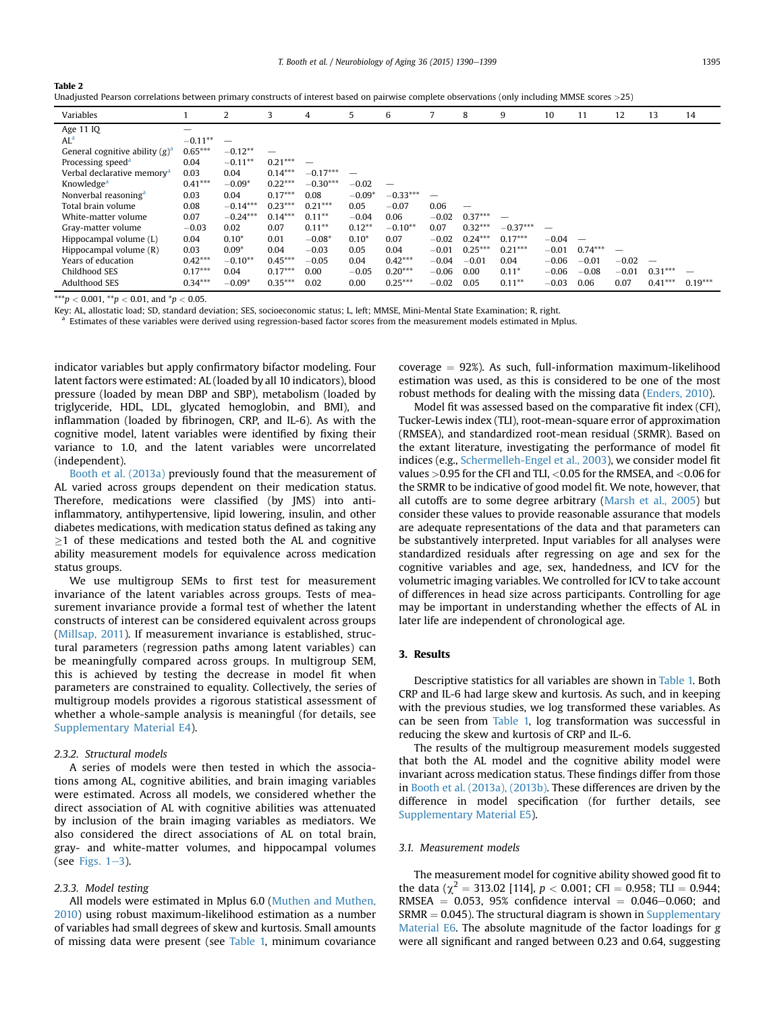<span id="page-6-0"></span>

| Table 2                                                                                                                                         |
|-------------------------------------------------------------------------------------------------------------------------------------------------|
| Unadjusted Pearson correlations between primary constructs of interest based on pairwise complete observations (only including MMSE scores >25) |

| Variables                              |                          | 2                        | 3         | 4          | 5         | 6          |         | 8         | 9          | 10      | 11              | 12      | 13        | 14        |
|----------------------------------------|--------------------------|--------------------------|-----------|------------|-----------|------------|---------|-----------|------------|---------|-----------------|---------|-----------|-----------|
| Age 11 IO                              | $\overline{\phantom{a}}$ |                          |           |            |           |            |         |           |            |         |                 |         |           |           |
| $AL^a$                                 | $-0.11***$               | $\overline{\phantom{0}}$ |           |            |           |            |         |           |            |         |                 |         |           |           |
| General cognitive ability $(g)^d$      | $0.65***$                | $-0.12**$                |           |            |           |            |         |           |            |         |                 |         |           |           |
| Processing speed <sup>a</sup>          | 0.04                     | $-0.11***$               | $0.21***$ |            |           |            |         |           |            |         |                 |         |           |           |
| Verbal declarative memory <sup>a</sup> | 0.03                     | 0.04                     | $0.14***$ | $-0.17***$ | -         |            |         |           |            |         |                 |         |           |           |
| Knowledge <sup>a</sup>                 | $0.41***$                | $-0.09*$                 | $0.22***$ | $-0.30***$ | $-0.02$   | -          |         |           |            |         |                 |         |           |           |
| Nonverbal reasoning <sup>a</sup>       | 0.03                     | 0.04                     | $0.17***$ | 0.08       | $-0.09*$  | $-0.33***$ |         |           |            |         |                 |         |           |           |
| Total brain volume                     | 0.08                     | $-0.14***$               | $0.23***$ | $0.21***$  | 0.05      | $-0.07$    | 0.06    |           |            |         |                 |         |           |           |
| White-matter volume                    | 0.07                     | $-0.24***$               | $0.14***$ | $0.11***$  | $-0.04$   | 0.06       | $-0.02$ | $0.37***$ |            |         |                 |         |           |           |
| Gray-matter volume                     | $-0.03$                  | 0.02                     | 0.07      | $0.11***$  | $0.12***$ | $-0.10**$  | 0.07    | $0.32***$ | $-0.37***$ | _       |                 |         |           |           |
| Hippocampal volume (L)                 | 0.04                     | $0.10*$                  | 0.01      | $-0.08*$   | $0.10*$   | 0.07       | $-0.02$ | $0.24***$ | $0.17***$  | $-0.04$ | $\qquad \qquad$ |         |           |           |
| Hippocampal volume $(R)$               | 0.03                     | $0.09*$                  | 0.04      | $-0.03$    | 0.05      | 0.04       | $-0.01$ | $0.25***$ | $0.21***$  | $-0.01$ | $0.74***$       | -       |           |           |
| Years of education                     | $0.42***$                | $-0.10**$                | $0.45***$ | $-0.05$    | 0.04      | $0.42***$  | $-0.04$ | $-0.01$   | 0.04       | $-0.06$ | $-0.01$         | $-0.02$ |           |           |
| Childhood SES                          | $0.17***$                | 0.04                     | $0.17***$ | 0.00       | $-0.05$   | $0.20***$  | $-0.06$ | 0.00      | $0.11*$    | $-0.06$ | $-0.08$         | $-0.01$ | $0.31***$ |           |
| <b>Adulthood SES</b>                   | $0.34***$                | $-0.09*$                 | $0.35***$ | 0.02       | 0.00      | $0.25***$  | $-0.02$ | 0.05      | $0.11***$  | $-0.03$ | 0.06            | 0.07    | $0.41***$ | $0.19***$ |

\*\*\*p < 0.001, \*\*p < 0.01, and  $p$  < 0.05.

Key: AL, allostatic load; SD, standard deviation; SES, socioeconomic status; L, left; MMSE, Mini-Mental State Examination; R, right.

Estimates of these variables were derived using regression-based factor scores from the measurement models estimated in Mplus.

indicator variables but apply confirmatory bifactor modeling. Four latent factors were estimated: AL (loaded by all 10 indicators), blood pressure (loaded by mean DBP and SBP), metabolism (loaded by triglyceride, HDL, LDL, glycated hemoglobin, and BMI), and inflammation (loaded by fibrinogen, CRP, and IL-6). As with the cognitive model, latent variables were identified by fixing their variance to 1.0, and the latent variables were uncorrelated (independent).

[Booth et al. \(2013a\)](#page-9-0) previously found that the measurement of AL varied across groups dependent on their medication status. Therefore, medications were classified (by JMS) into antiinflammatory, antihypertensive, lipid lowering, insulin, and other diabetes medications, with medication status defined as taking any  $\geq$ 1 of these medications and tested both the AL and cognitive ability measurement models for equivalence across medication status groups.

We use multigroup SEMs to first test for measurement invariance of the latent variables across groups. Tests of measurement invariance provide a formal test of whether the latent constructs of interest can be considered equivalent across groups ([Millsap, 2011](#page-10-0)). If measurement invariance is established, structural parameters (regression paths among latent variables) can be meaningfully compared across groups. In multigroup SEM, this is achieved by testing the decrease in model fit when parameters are constrained to equality. Collectively, the series of multigroup models provides a rigorous statistical assessment of whether a whole-sample analysis is meaningful (for details, see Supplementary Material E4).

#### 2.3.2. Structural models

A series of models were then tested in which the associations among AL, cognitive abilities, and brain imaging variables were estimated. Across all models, we considered whether the direct association of AL with cognitive abilities was attenuated by inclusion of the brain imaging variables as mediators. We also considered the direct associations of AL on total brain, gray- and white-matter volumes, and hippocampal volumes (see Figs.  $1-3$ ).

#### 2.3.3. Model testing

All models were estimated in Mplus 6.0 ([Muthen and Muthen,](#page-10-0) [2010\)](#page-10-0) using robust maximum-likelihood estimation as a number of variables had small degrees of skew and kurtosis. Small amounts of missing data were present (see [Table 1,](#page-2-0) minimum covariance  $coverage = 92\%$ ). As such, full-information maximum-likelihood estimation was used, as this is considered to be one of the most robust methods for dealing with the missing data [\(Enders, 2010\)](#page-10-0).

Model fit was assessed based on the comparative fit index (CFI), Tucker-Lewis index (TLI), root-mean-square error of approximation (RMSEA), and standardized root-mean residual (SRMR). Based on the extant literature, investigating the performance of model fit indices (e.g., [Schermelleh-Engel et al., 2003\)](#page-10-0), we consider model fit values  $>$  0.95 for the CFI and TLI,  $<$  0.05 for the RMSEA, and  $<$  0.06 for the SRMR to be indicative of good model fit. We note, however, that all cutoffs are to some degree arbitrary ([Marsh et al., 2005\)](#page-10-0) but consider these values to provide reasonable assurance that models are adequate representations of the data and that parameters can be substantively interpreted. Input variables for all analyses were standardized residuals after regressing on age and sex for the cognitive variables and age, sex, handedness, and ICV for the volumetric imaging variables. We controlled for ICV to take account of differences in head size across participants. Controlling for age may be important in understanding whether the effects of AL in later life are independent of chronological age.

## 3. Results

Descriptive statistics for all variables are shown in [Table 1.](#page-2-0) Both CRP and IL-6 had large skew and kurtosis. As such, and in keeping with the previous studies, we log transformed these variables. As can be seen from [Table 1,](#page-2-0) log transformation was successful in reducing the skew and kurtosis of CRP and IL-6.

The results of the multigroup measurement models suggested that both the AL model and the cognitive ability model were invariant across medication status. These findings differ from those in [Booth et al. \(2013a\), \(2013b\).](#page-9-0) These differences are driven by the difference in model specification (for further details, see Supplementary Material E5).

#### 3.1. Measurement models

The measurement model for cognitive ability showed good fit to the data ( $\chi^2$  = 313.02 [114],  $p < 0.001$ ; CFI = 0.958; TLI = 0.944; RMSEA =  $0.053$ , 95% confidence interval =  $0.046-0.060$ ; and  $SRMR = 0.045$ ). The structural diagram is shown in Supplementary Material E6. The absolute magnitude of the factor loadings for g were all significant and ranged between 0.23 and 0.64, suggesting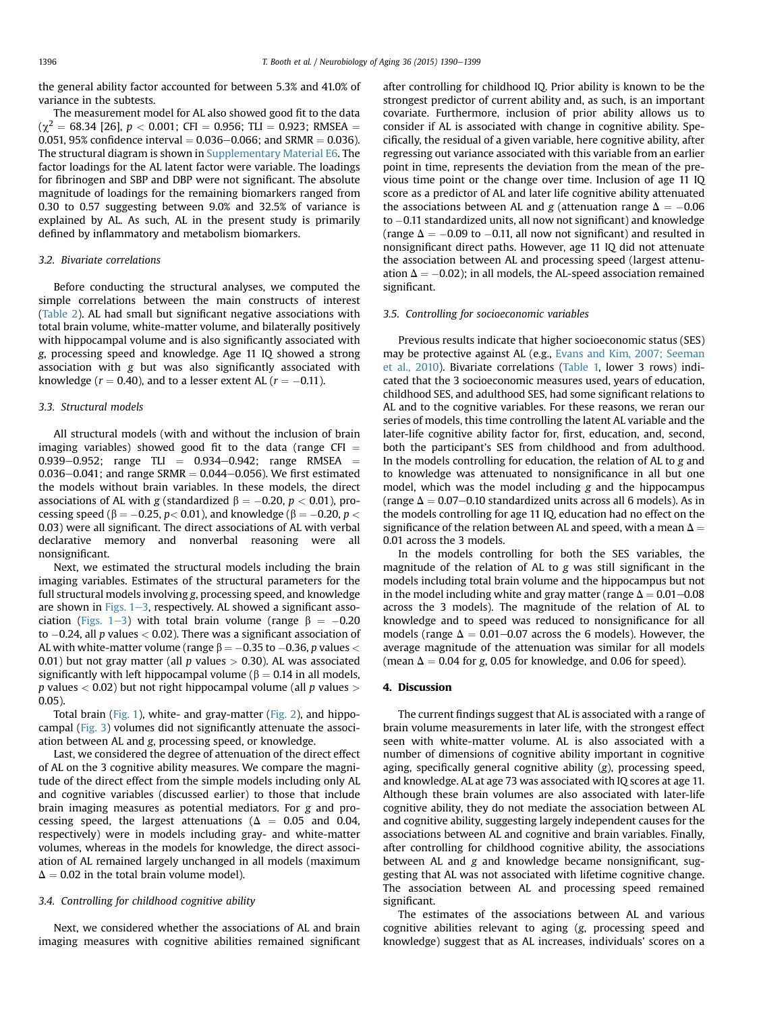the general ability factor accounted for between 5.3% and 41.0% of variance in the subtests.

The measurement model for AL also showed good fit to the data  $(\chi^2 = 68.34$  [26], p < 0.001; CFI = 0.956; TLI = 0.923; RMSEA = 0.051, 95% confidence interval =  $0.036-0.066$ ; and SRMR =  $0.036$ ). The structural diagram is shown in Supplementary Material E6. The factor loadings for the AL latent factor were variable. The loadings for fibrinogen and SBP and DBP were not significant. The absolute magnitude of loadings for the remaining biomarkers ranged from 0.30 to 0.57 suggesting between 9.0% and 32.5% of variance is explained by AL. As such, AL in the present study is primarily defined by inflammatory and metabolism biomarkers.

#### 3.2. Bivariate correlations

Before conducting the structural analyses, we computed the simple correlations between the main constructs of interest [\(Table 2\)](#page-6-0). AL had small but significant negative associations with total brain volume, white-matter volume, and bilaterally positively with hippocampal volume and is also significantly associated with g, processing speed and knowledge. Age 11 IQ showed a strong association with g but was also significantly associated with knowledge ( $r = 0.40$ ), and to a lesser extent AL ( $r = -0.11$ ).

#### 3.3. Structural models

All structural models (with and without the inclusion of brain imaging variables) showed good fit to the data (range CFI  $=$ 0.939-0.952; range TLI = 0.934-0.942; range RMSEA = 0.036–0.041; and range SRMR  $= 0.044$ –0.056). We first estimated the models without brain variables. In these models, the direct associations of AL with g (standardized  $\beta = -0.20, p < 0.01$ ), processing speed ( $\beta = -0.25$ ,  $p < 0.01$ ), and knowledge ( $\beta = -0.20$ ,  $p <$ 0.03) were all significant. The direct associations of AL with verbal declarative memory and nonverbal reasoning were all nonsignificant.

Next, we estimated the structural models including the brain imaging variables. Estimates of the structural parameters for the full structural models involving g, processing speed, and knowledge are shown in Figs.  $1-3$  $1-3$ , respectively. AL showed a significant asso-ciation ([Figs. 1](#page-4-0)–[3\)](#page-4-0) with total brain volume (range  $\beta = -0.20$ to  $-0.24$ , all p values  $< 0.02$ ). There was a significant association of AL with white-matter volume (range  $\beta = -0.35$  to  $-0.36$ , p values  $<$ 0.01) but not gray matter (all  $p$  values  $>$  0.30). AL was associated significantly with left hippocampal volume ( $\beta = 0.14$  in all models,  $p$  values  $<$  0.02) but not right hippocampal volume (all  $p$  values  $>$ 0.05).

Total brain ([Fig. 1](#page-4-0)), white- and gray-matter ([Fig. 2](#page-5-0)), and hippocampal [\(Fig. 3](#page-5-0)) volumes did not significantly attenuate the association between AL and g, processing speed, or knowledge.

Last, we considered the degree of attenuation of the direct effect of AL on the 3 cognitive ability measures. We compare the magnitude of the direct effect from the simple models including only AL and cognitive variables (discussed earlier) to those that include brain imaging measures as potential mediators. For g and processing speed, the largest attenuations ( $\Delta = 0.05$  and 0.04, respectively) were in models including gray- and white-matter volumes, whereas in the models for knowledge, the direct association of AL remained largely unchanged in all models (maximum  $\Delta = 0.02$  in the total brain volume model).

#### 3.4. Controlling for childhood cognitive ability

Next, we considered whether the associations of AL and brain imaging measures with cognitive abilities remained significant after controlling for childhood IQ. Prior ability is known to be the strongest predictor of current ability and, as such, is an important covariate. Furthermore, inclusion of prior ability allows us to consider if AL is associated with change in cognitive ability. Specifically, the residual of a given variable, here cognitive ability, after regressing out variance associated with this variable from an earlier point in time, represents the deviation from the mean of the previous time point or the change over time. Inclusion of age 11 IQ score as a predictor of AL and later life cognitive ability attenuated the associations between AL and g (attenuation range  $\Delta = -0.06$ to  $-0.11$  standardized units, all now not significant) and knowledge (range  $\Delta = -0.09$  to  $-0.11$ , all now not significant) and resulted in nonsignificant direct paths. However, age 11 IQ did not attenuate the association between AL and processing speed (largest attenuation  $\Delta = -0.02$ ); in all models, the AL-speed association remained significant.

#### 3.5. Controlling for socioeconomic variables

Previous results indicate that higher socioeconomic status (SES) may be protective against AL (e.g., [Evans and Kim, 2007; Seeman](#page-10-0) [et al., 2010](#page-10-0)). Bivariate correlations ([Table 1,](#page-2-0) lower 3 rows) indicated that the 3 socioeconomic measures used, years of education, childhood SES, and adulthood SES, had some significant relations to AL and to the cognitive variables. For these reasons, we reran our series of models, this time controlling the latent AL variable and the later-life cognitive ability factor for, first, education, and, second, both the participant's SES from childhood and from adulthood. In the models controlling for education, the relation of AL to g and to knowledge was attenuated to nonsignificance in all but one model, which was the model including g and the hippocampus (range  $\Delta = 0.07-0.10$  standardized units across all 6 models). As in the models controlling for age 11 IQ, education had no effect on the significance of the relation between AL and speed, with a mean  $\Delta =$ 0.01 across the 3 models.

In the models controlling for both the SES variables, the magnitude of the relation of AL to g was still significant in the models including total brain volume and the hippocampus but not in the model including white and gray matter (range  $\Delta = 0.01 - 0.08$ across the 3 models). The magnitude of the relation of AL to knowledge and to speed was reduced to nonsignificance for all models (range  $\Delta = 0.01 - 0.07$  across the 6 models). However, the average magnitude of the attenuation was similar for all models (mean  $\Delta = 0.04$  for g, 0.05 for knowledge, and 0.06 for speed).

#### 4. Discussion

The current findings suggest that AL is associated with a range of brain volume measurements in later life, with the strongest effect seen with white-matter volume. AL is also associated with a number of dimensions of cognitive ability important in cognitive aging, specifically general cognitive ability  $(g)$ , processing speed, and knowledge. AL at age 73 was associated with IQ scores at age 11. Although these brain volumes are also associated with later-life cognitive ability, they do not mediate the association between AL and cognitive ability, suggesting largely independent causes for the associations between AL and cognitive and brain variables. Finally, after controlling for childhood cognitive ability, the associations between AL and g and knowledge became nonsignificant, suggesting that AL was not associated with lifetime cognitive change. The association between AL and processing speed remained significant.

The estimates of the associations between AL and various cognitive abilities relevant to aging (g, processing speed and knowledge) suggest that as AL increases, individuals' scores on a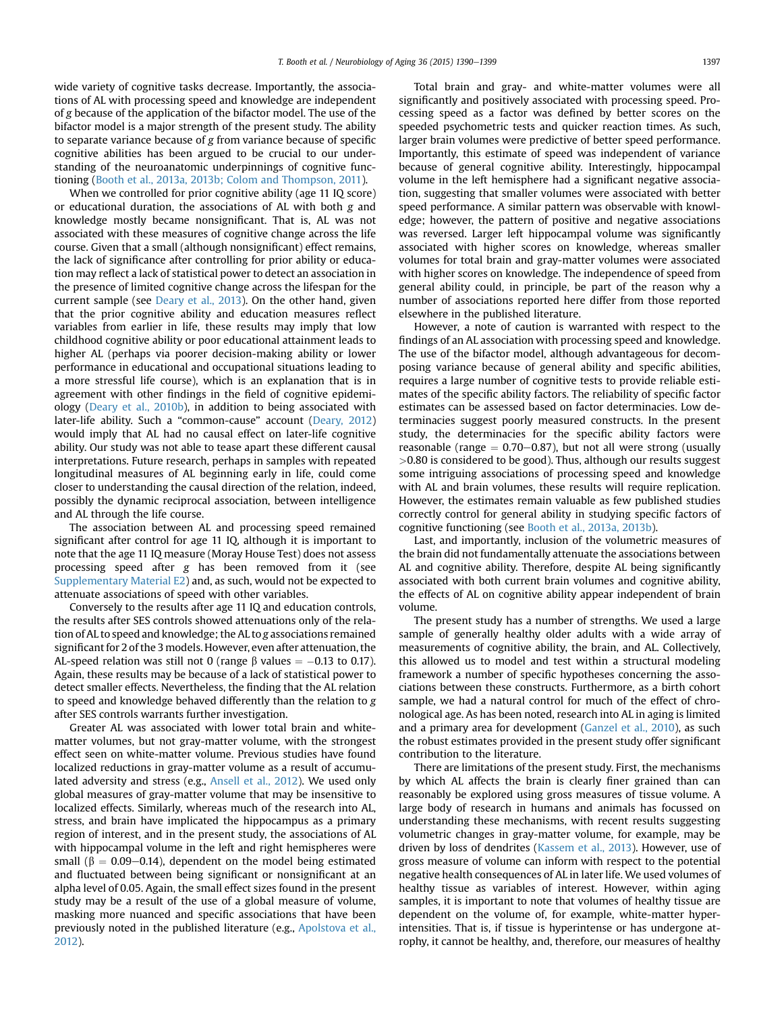wide variety of cognitive tasks decrease. Importantly, the associations of AL with processing speed and knowledge are independent of g because of the application of the bifactor model. The use of the bifactor model is a major strength of the present study. The ability to separate variance because of g from variance because of specific cognitive abilities has been argued to be crucial to our understanding of the neuroanatomic underpinnings of cognitive functioning [\(Booth et al., 2013a, 2013b; Colom and Thompson, 2011](#page-9-0)).

When we controlled for prior cognitive ability (age 11 IQ score) or educational duration, the associations of AL with both g and knowledge mostly became nonsignificant. That is, AL was not associated with these measures of cognitive change across the life course. Given that a small (although nonsignificant) effect remains, the lack of significance after controlling for prior ability or education may reflect a lack of statistical power to detect an association in the presence of limited cognitive change across the lifespan for the current sample (see [Deary et al., 2013](#page-10-0)). On the other hand, given that the prior cognitive ability and education measures reflect variables from earlier in life, these results may imply that low childhood cognitive ability or poor educational attainment leads to higher AL (perhaps via poorer decision-making ability or lower performance in educational and occupational situations leading to a more stressful life course), which is an explanation that is in agreement with other findings in the field of cognitive epidemiology ([Deary et al., 2010b\)](#page-10-0), in addition to being associated with later-life ability. Such a "common-cause" account ([Deary, 2012](#page-10-0)) would imply that AL had no causal effect on later-life cognitive ability. Our study was not able to tease apart these different causal interpretations. Future research, perhaps in samples with repeated longitudinal measures of AL beginning early in life, could come closer to understanding the causal direction of the relation, indeed, possibly the dynamic reciprocal association, between intelligence and AL through the life course.

The association between AL and processing speed remained significant after control for age 11 IQ, although it is important to note that the age 11 IQ measure (Moray House Test) does not assess processing speed after g has been removed from it (see Supplementary Material E2) and, as such, would not be expected to attenuate associations of speed with other variables.

Conversely to the results after age 11 IQ and education controls, the results after SES controls showed attenuations only of the relation of AL to speed and knowledge; the AL to g associations remained significant for 2 of the 3 models. However, even after attenuation, the AL-speed relation was still not 0 (range  $\beta$  values  $= -0.13$  to 0.17). Again, these results may be because of a lack of statistical power to detect smaller effects. Nevertheless, the finding that the AL relation to speed and knowledge behaved differently than the relation to g after SES controls warrants further investigation.

Greater AL was associated with lower total brain and whitematter volumes, but not gray-matter volume, with the strongest effect seen on white-matter volume. Previous studies have found localized reductions in gray-matter volume as a result of accumulated adversity and stress (e.g., [Ansell et al., 2012](#page-9-0)). We used only global measures of gray-matter volume that may be insensitive to localized effects. Similarly, whereas much of the research into AL, stress, and brain have implicated the hippocampus as a primary region of interest, and in the present study, the associations of AL with hippocampal volume in the left and right hemispheres were small ( $\beta = 0.09-0.14$ ), dependent on the model being estimated and fluctuated between being significant or nonsignificant at an alpha level of 0.05. Again, the small effect sizes found in the present study may be a result of the use of a global measure of volume, masking more nuanced and specific associations that have been previously noted in the published literature (e.g., [Apolstova et al.,](#page-9-0) [2012\)](#page-9-0).

Total brain and gray- and white-matter volumes were all significantly and positively associated with processing speed. Processing speed as a factor was defined by better scores on the speeded psychometric tests and quicker reaction times. As such, larger brain volumes were predictive of better speed performance. Importantly, this estimate of speed was independent of variance because of general cognitive ability. Interestingly, hippocampal volume in the left hemisphere had a significant negative association, suggesting that smaller volumes were associated with better speed performance. A similar pattern was observable with knowledge; however, the pattern of positive and negative associations was reversed. Larger left hippocampal volume was significantly associated with higher scores on knowledge, whereas smaller volumes for total brain and gray-matter volumes were associated with higher scores on knowledge. The independence of speed from general ability could, in principle, be part of the reason why a number of associations reported here differ from those reported elsewhere in the published literature.

However, a note of caution is warranted with respect to the findings of an AL association with processing speed and knowledge. The use of the bifactor model, although advantageous for decomposing variance because of general ability and specific abilities, requires a large number of cognitive tests to provide reliable estimates of the specific ability factors. The reliability of specific factor estimates can be assessed based on factor determinacies. Low determinacies suggest poorly measured constructs. In the present study, the determinacies for the specific ability factors were reasonable (range  $= 0.70-0.87$ ), but not all were strong (usually >0.80 is considered to be good). Thus, although our results suggest some intriguing associations of processing speed and knowledge with AL and brain volumes, these results will require replication. However, the estimates remain valuable as few published studies correctly control for general ability in studying specific factors of cognitive functioning (see [Booth et al., 2013a, 2013b\)](#page-9-0).

Last, and importantly, inclusion of the volumetric measures of the brain did not fundamentally attenuate the associations between AL and cognitive ability. Therefore, despite AL being significantly associated with both current brain volumes and cognitive ability, the effects of AL on cognitive ability appear independent of brain volume.

The present study has a number of strengths. We used a large sample of generally healthy older adults with a wide array of measurements of cognitive ability, the brain, and AL. Collectively, this allowed us to model and test within a structural modeling framework a number of specific hypotheses concerning the associations between these constructs. Furthermore, as a birth cohort sample, we had a natural control for much of the effect of chronological age. As has been noted, research into AL in aging is limited and a primary area for development ([Ganzel et al., 2010\)](#page-10-0), as such the robust estimates provided in the present study offer significant contribution to the literature.

There are limitations of the present study. First, the mechanisms by which AL affects the brain is clearly finer grained than can reasonably be explored using gross measures of tissue volume. A large body of research in humans and animals has focussed on understanding these mechanisms, with recent results suggesting volumetric changes in gray-matter volume, for example, may be driven by loss of dendrites ([Kassem et al., 2013](#page-10-0)). However, use of gross measure of volume can inform with respect to the potential negative health consequences of AL in later life. We used volumes of healthy tissue as variables of interest. However, within aging samples, it is important to note that volumes of healthy tissue are dependent on the volume of, for example, white-matter hyperintensities. That is, if tissue is hyperintense or has undergone atrophy, it cannot be healthy, and, therefore, our measures of healthy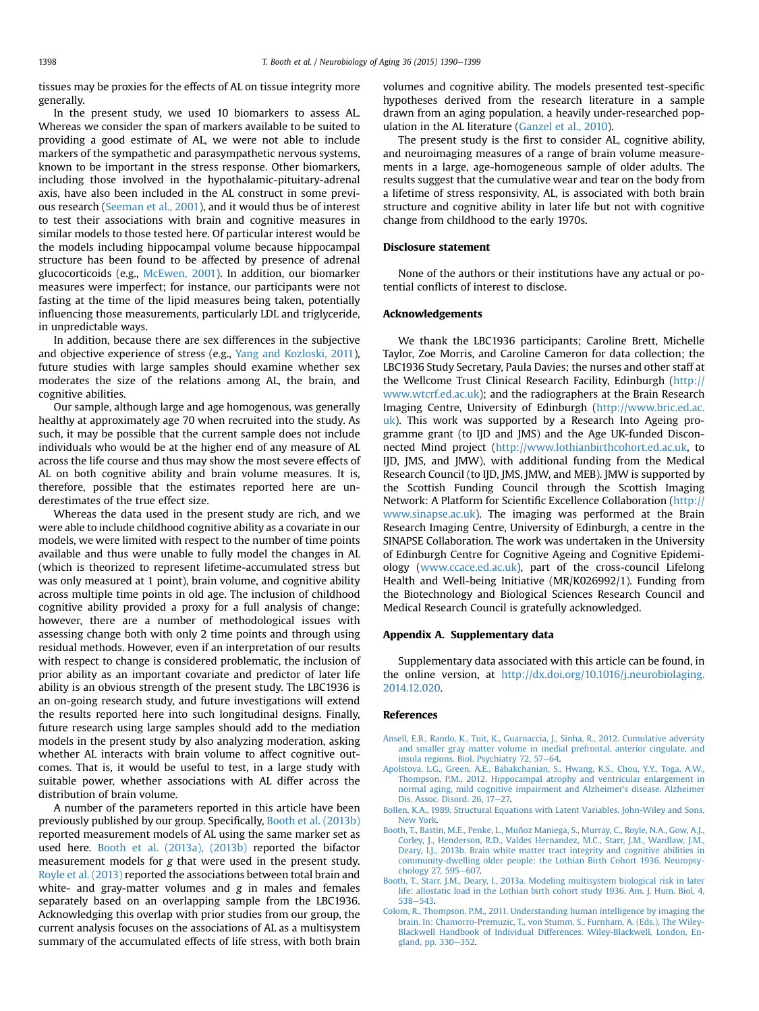<span id="page-9-0"></span>tissues may be proxies for the effects of AL on tissue integrity more generally.

In the present study, we used 10 biomarkers to assess AL. Whereas we consider the span of markers available to be suited to providing a good estimate of AL, we were not able to include markers of the sympathetic and parasympathetic nervous systems, known to be important in the stress response. Other biomarkers, including those involved in the hypothalamic-pituitary-adrenal axis, have also been included in the AL construct in some previous research ([Seeman et al., 2001\)](#page-10-0), and it would thus be of interest to test their associations with brain and cognitive measures in similar models to those tested here. Of particular interest would be the models including hippocampal volume because hippocampal structure has been found to be affected by presence of adrenal glucocorticoids (e.g., [McEwen, 2001](#page-10-0)). In addition, our biomarker measures were imperfect; for instance, our participants were not fasting at the time of the lipid measures being taken, potentially influencing those measurements, particularly LDL and triglyceride, in unpredictable ways.

In addition, because there are sex differences in the subjective and objective experience of stress (e.g., [Yang and Kozloski, 2011\)](#page-10-0), future studies with large samples should examine whether sex moderates the size of the relations among AL, the brain, and cognitive abilities.

Our sample, although large and age homogenous, was generally healthy at approximately age 70 when recruited into the study. As such, it may be possible that the current sample does not include individuals who would be at the higher end of any measure of AL across the life course and thus may show the most severe effects of AL on both cognitive ability and brain volume measures. It is, therefore, possible that the estimates reported here are underestimates of the true effect size.

Whereas the data used in the present study are rich, and we were able to include childhood cognitive ability as a covariate in our models, we were limited with respect to the number of time points available and thus were unable to fully model the changes in AL (which is theorized to represent lifetime-accumulated stress but was only measured at 1 point), brain volume, and cognitive ability across multiple time points in old age. The inclusion of childhood cognitive ability provided a proxy for a full analysis of change; however, there are a number of methodological issues with assessing change both with only 2 time points and through using residual methods. However, even if an interpretation of our results with respect to change is considered problematic, the inclusion of prior ability as an important covariate and predictor of later life ability is an obvious strength of the present study. The LBC1936 is an on-going research study, and future investigations will extend the results reported here into such longitudinal designs. Finally, future research using large samples should add to the mediation models in the present study by also analyzing moderation, asking whether AL interacts with brain volume to affect cognitive outcomes. That is, it would be useful to test, in a large study with suitable power, whether associations with AL differ across the distribution of brain volume.

A number of the parameters reported in this article have been previously published by our group. Specifically, Booth et al. (2013b) reported measurement models of AL using the same marker set as used here. Booth et al. (2013a), (2013b) reported the bifactor measurement models for g that were used in the present study. [Royle et al. \(2013\)](#page-10-0) reported the associations between total brain and white- and gray-matter volumes and  $g$  in males and females separately based on an overlapping sample from the LBC1936. Acknowledging this overlap with prior studies from our group, the current analysis focuses on the associations of AL as a multisystem summary of the accumulated effects of life stress, with both brain

volumes and cognitive ability. The models presented test-specific hypotheses derived from the research literature in a sample drawn from an aging population, a heavily under-researched population in the AL literature [\(Ganzel et al., 2010](#page-10-0)).

The present study is the first to consider AL, cognitive ability, and neuroimaging measures of a range of brain volume measurements in a large, age-homogeneous sample of older adults. The results suggest that the cumulative wear and tear on the body from a lifetime of stress responsivity, AL, is associated with both brain structure and cognitive ability in later life but not with cognitive change from childhood to the early 1970s.

#### Disclosure statement

None of the authors or their institutions have any actual or potential conflicts of interest to disclose.

## Acknowledgements

We thank the LBC1936 participants; Caroline Brett, Michelle Taylor, Zoe Morris, and Caroline Cameron for data collection; the LBC1936 Study Secretary, Paula Davies; the nurses and other staff at the Wellcome Trust Clinical Research Facility, Edinburgh ([http://](http://www.wtcrf.ed.ac.uk) [www.wtcrf.ed.ac.uk](http://www.wtcrf.ed.ac.uk)); and the radiographers at the Brain Research Imaging Centre, University of Edinburgh ([http://www.bric.ed.ac.](http://www.bric.ed.ac.uk) [uk](http://www.bric.ed.ac.uk)). This work was supported by a Research Into Ageing programme grant (to IJD and JMS) and the Age UK-funded Disconnected Mind project ([http://www.lothianbirthcohort.ed.ac.uk,](http://www.lothianbirthcohort.ed.ac.uk) to IJD, JMS, and JMW), with additional funding from the Medical Research Council (to IJD, JMS, JMW, and MEB). JMW is supported by the Scottish Funding Council through the Scottish Imaging Network: A Platform for Scientific Excellence Collaboration ([http://](http://www.sinapse.ac.uk) [www.sinapse.ac.uk](http://www.sinapse.ac.uk)). The imaging was performed at the Brain Research Imaging Centre, University of Edinburgh, a centre in the SINAPSE Collaboration. The work was undertaken in the University of Edinburgh Centre for Cognitive Ageing and Cognitive Epidemiology ([www.ccace.ed.ac.uk](http://www.ccace.ed.ac.uk)), part of the cross-council Lifelong Health and Well-being Initiative (MR/K026992/1). Funding from the Biotechnology and Biological Sciences Research Council and Medical Research Council is gratefully acknowledged.

#### Appendix A. Supplementary data

Supplementary data associated with this article can be found, in the online version, at [http://dx.doi.org/10.1016/j.neurobiolaging.](http://dx.doi.org/10.1016/j.neurobiolaging.2014.12.020) [2014.12.020.](http://dx.doi.org/10.1016/j.neurobiolaging.2014.12.020)

#### References

- [Ansell, E.B., Rando, K., Tuit, K., Guarnaccia, J., Sinha, R., 2012. Cumulative adversity](http://refhub.elsevier.com/S0197-4580(14)00836-7/sref1) [and smaller gray matter volume in medial prefrontal, anterior cingulate, and](http://refhub.elsevier.com/S0197-4580(14)00836-7/sref1)  $insula$  regions. Biol. Psychiatry 72, 57-[64.](http://refhub.elsevier.com/S0197-4580(14)00836-7/sref1)
- [Apolstova, L.G., Green, A.E., Babakchanian, S., Hwang, K.S., Chou, Y.Y., Toga, A.W.,](http://refhub.elsevier.com/S0197-4580(14)00836-7/sref2) [Thompson, P.M., 2012. Hippocampal atrophy and ventricular enlargement in](http://refhub.elsevier.com/S0197-4580(14)00836-7/sref2) [normal aging, mild cognitive impairment and Alzheimer](http://refhub.elsevier.com/S0197-4580(14)00836-7/sref2)'s disease. Alzheimer Dis. Assoc. Disord.  $26, 17-27$ .
- [Bollen, K.A., 1989. Structural Equations with Latent Variables. John-Wiley and Sons,](http://refhub.elsevier.com/S0197-4580(14)00836-7/sref3) [New York](http://refhub.elsevier.com/S0197-4580(14)00836-7/sref3).
- [Booth, T., Bastin, M.E., Penke, L., Muñoz Maniega, S., Murray, C., Royle, N.A., Gow, A.J.,](http://refhub.elsevier.com/S0197-4580(14)00836-7/sref4) [Corley, J., Henderson, R.D., Valdes Hernandez, M.C., Starr, J.M., Wardlaw, J.M.,](http://refhub.elsevier.com/S0197-4580(14)00836-7/sref4) [Deary, I.J., 2013b. Brain white matter tract integrity and cognitive abilities in](http://refhub.elsevier.com/S0197-4580(14)00836-7/sref4) [community-dwelling older people: the Lothian Birth Cohort 1936. Neuropsy](http://refhub.elsevier.com/S0197-4580(14)00836-7/sref4)[chology 27, 595](http://refhub.elsevier.com/S0197-4580(14)00836-7/sref4)-[607.](http://refhub.elsevier.com/S0197-4580(14)00836-7/sref4)
- [Booth, T., Starr, J.M., Deary, I., 2013a. Modeling multisystem biological risk in later](http://refhub.elsevier.com/S0197-4580(14)00836-7/sref5) [life: allostatic load in the Lothian birth cohort study 1936. Am. J. Hum. Biol. 4,](http://refhub.elsevier.com/S0197-4580(14)00836-7/sref5) [538](http://refhub.elsevier.com/S0197-4580(14)00836-7/sref5)-[543](http://refhub.elsevier.com/S0197-4580(14)00836-7/sref5).
- [Colom, R., Thompson, P.M., 2011. Understanding human intelligence by imaging the](http://refhub.elsevier.com/S0197-4580(14)00836-7/sref6) [brain. In: Chamorro-Premuzic, T., von Stumm, S., Furnham, A. \(Eds.\), The Wiley-](http://refhub.elsevier.com/S0197-4580(14)00836-7/sref6)[Blackwell Handbook of Individual Differences. Wiley-Blackwell, London, En](http://refhub.elsevier.com/S0197-4580(14)00836-7/sref6)[gland, pp. 330](http://refhub.elsevier.com/S0197-4580(14)00836-7/sref6)-[352.](http://refhub.elsevier.com/S0197-4580(14)00836-7/sref6)